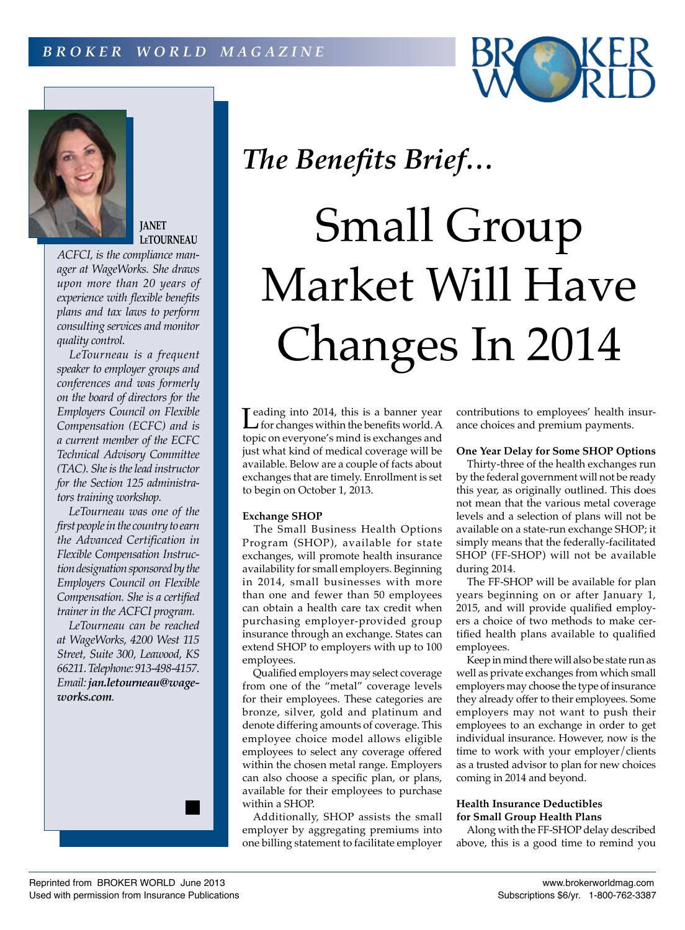



**JANET LeTOURNEAU**

*ACFCI, is the compliance manager at WageWorks. She draws upon more than 20 years of experience with flexible benefits plans and tax laws to perform consulting services and monitor quality control.*

*LeTourneau is a frequent speaker to employer groups and conferences and was formerly on the board of directors for the Employers Council on Flexible Compensation (ECFC) and is a current member of the ECFC Technical Advisory Committee (TAC). She is the lead instructor for the Section 125 administrators training workshop.*

*LeTourneau was one of the first people in the country to earn the Advanced Certification in Flexible Compensation Instruction designation sponsored by the Employers Council on Flexible Compensation. She is a certified trainer in the ACFCI program.*

*LeTourneau can be reached at WageWorks, 4200 West 115 Street, Suite 300, Leawood, KS 66211. Telephone: 913-498-4157. Email: jan.letourneau@wageworks.com.*

# *The Benefits Brief…*

# Small Group Market Will Have Changes In 2014

Leading into 2014, this is a banner year<br>
for changes within the benefits world. A       for changes within the benefits world.A topic on everyone's mind is exchanges and just what kind of medical coverage will be available. Below are a couple of facts about exchanges that are timely. Enrollment is set to begin on October 1, 2013.

#### **Exchange SHOP**

The Small Business Health Options Program (SHOP), available for state exchanges, will promote health insurance availability for small employers. Beginning in 2014, small businesses with more than one and fewer than 50 employees can obtain a health care tax credit when purchasing employer-provided group insurance through an exchange. States can extend SHOP to employers with up to 100 employees.

Qualified employers may select coverage from one of the "metal" coverage levels for their employees. These categories are bronze, silver, gold and platinum and denote differing amounts of coverage. This employee choice model allows eligible employees to select any coverage offered within the chosen metal range. Employers can also choose a specific plan, or plans, available for their employees to purchase within a SHOP.

Additionally, SHOP assists the small employer by aggregating premiums into one billing statement to facilitate employer contributions to employees' health insurance choices and premium payments.

## **One Year Delay for Some SHOP Options**

Thirty-three of the health exchanges run by the federal government will not be ready this year, as originally outlined. This does not mean that the various metal coverage levels and a selection of plans will not be available on a state-run exchange SHOP; it simply means that the federally-facilitated SHOP (FF-SHOP) will not be available during 2014.

The FF-SHOP will be available for plan years beginning on or after January 1, 2015, and will provide qualified employers a choice of two methods to make certified health plans available to qualified employees.

Keep in mind there will also be state run as well as private exchanges from which small employers may choose the type of insurance they already offer to their employees. Some employers may not want to push their employees to an exchange in order to get individual insurance. However, now is the time to work with your employer/clients as a trusted advisor to plan for new choices coming in 2014 and beyond.

### **Health Insurance Deductibles for Small Group Health Plans**

Along with the FF-SHOP delay described above, this is a good time to remind you